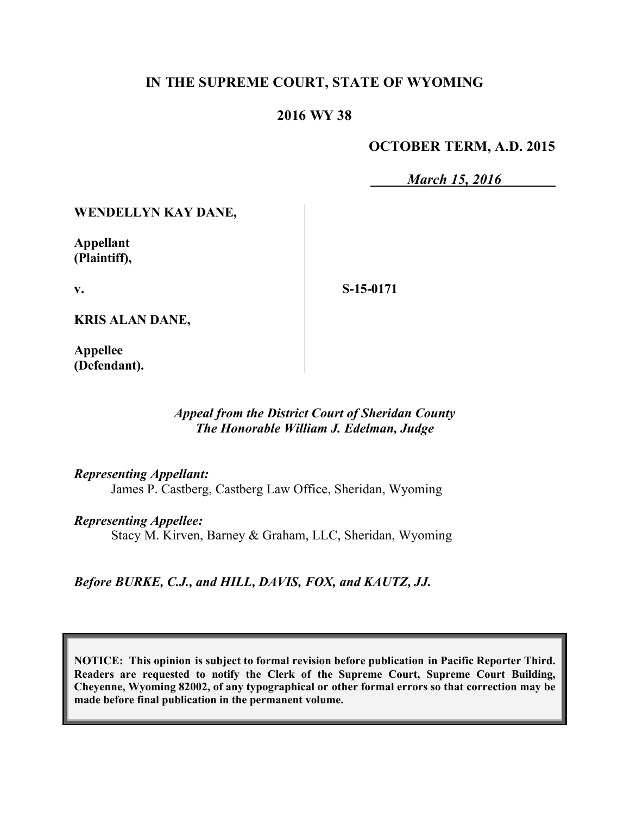### **IN THE SUPREME COURT, STATE OF WYOMING**

## **2016 WY 38**

### **OCTOBER TERM, A.D. 2015**

*March 15, 2016*

**WENDELLYN KAY DANE,**

**Appellant (Plaintiff),**

**v.**

**S-15-0171**

**KRIS ALAN DANE,**

**Appellee (Defendant).**

#### *Appeal from the District Court of Sheridan County The Honorable William J. Edelman, Judge*

*Representing Appellant:*

James P. Castberg, Castberg Law Office, Sheridan, Wyoming

*Representing Appellee:*

Stacy M. Kirven, Barney & Graham, LLC, Sheridan, Wyoming

*Before BURKE, C.J., and HILL, DAVIS, FOX, and KAUTZ, JJ.*

**NOTICE: This opinion is subject to formal revision before publication in Pacific Reporter Third. Readers are requested to notify the Clerk of the Supreme Court, Supreme Court Building, Cheyenne, Wyoming 82002, of any typographical or other formal errors so that correction may be made before final publication in the permanent volume.**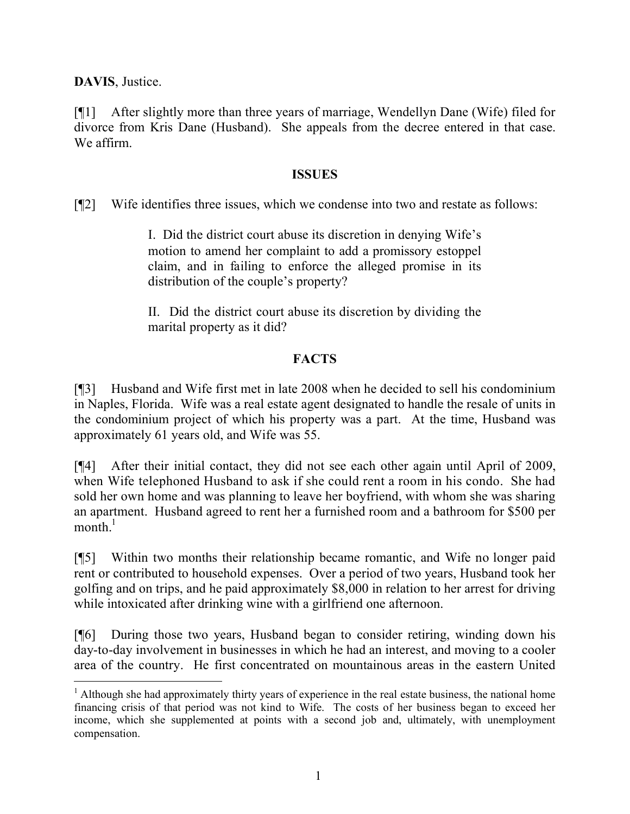**DAVIS**, Justice.

 $\overline{a}$ 

[¶1] After slightly more than three years of marriage, Wendellyn Dane (Wife) filed for divorce from Kris Dane (Husband). She appeals from the decree entered in that case. We affirm.

### **ISSUES**

[¶2] Wife identifies three issues, which we condense into two and restate as follows:

I. Did the district court abuse its discretion in denying Wife's motion to amend her complaint to add a promissory estoppel claim, and in failing to enforce the alleged promise in its distribution of the couple's property?

II. Did the district court abuse its discretion by dividing the marital property as it did?

# **FACTS**

[¶3] Husband and Wife first met in late 2008 when he decided to sell his condominium in Naples, Florida. Wife was a real estate agent designated to handle the resale of units in the condominium project of which his property was a part. At the time, Husband was approximately 61 years old, and Wife was 55.

[¶4] After their initial contact, they did not see each other again until April of 2009, when Wife telephoned Husband to ask if she could rent a room in his condo. She had sold her own home and was planning to leave her boyfriend, with whom she was sharing an apartment. Husband agreed to rent her a furnished room and a bathroom for \$500 per  $\text{month.}^1$ 

[¶5] Within two months their relationship became romantic, and Wife no longer paid rent or contributed to household expenses. Over a period of two years, Husband took her golfing and on trips, and he paid approximately \$8,000 in relation to her arrest for driving while intoxicated after drinking wine with a girlfriend one afternoon.

[¶6] During those two years, Husband began to consider retiring, winding down his day-to-day involvement in businesses in which he had an interest, and moving to a cooler area of the country. He first concentrated on mountainous areas in the eastern United

<sup>&</sup>lt;sup>1</sup> Although she had approximately thirty years of experience in the real estate business, the national home financing crisis of that period was not kind to Wife. The costs of her business began to exceed her income, which she supplemented at points with a second job and, ultimately, with unemployment compensation.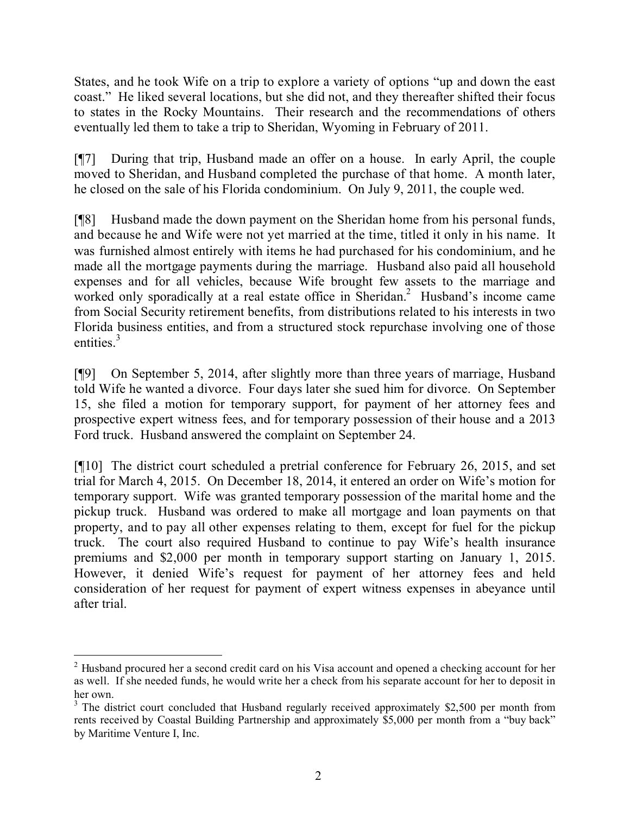States, and he took Wife on a trip to explore a variety of options "up and down the east coast." He liked several locations, but she did not, and they thereafter shifted their focus to states in the Rocky Mountains. Their research and the recommendations of others eventually led them to take a trip to Sheridan, Wyoming in February of 2011.

[¶7] During that trip, Husband made an offer on a house. In early April, the couple moved to Sheridan, and Husband completed the purchase of that home. A month later, he closed on the sale of his Florida condominium. On July 9, 2011, the couple wed.

[¶8] Husband made the down payment on the Sheridan home from his personal funds, and because he and Wife were not yet married at the time, titled it only in his name. It was furnished almost entirely with items he had purchased for his condominium, and he made all the mortgage payments during the marriage. Husband also paid all household expenses and for all vehicles, because Wife brought few assets to the marriage and worked only sporadically at a real estate office in Sheridan.<sup>2</sup> Husband's income came from Social Security retirement benefits, from distributions related to his interests in two Florida business entities, and from a structured stock repurchase involving one of those entities. $3$ 

[¶9] On September 5, 2014, after slightly more than three years of marriage, Husband told Wife he wanted a divorce. Four days later she sued him for divorce. On September 15, she filed a motion for temporary support, for payment of her attorney fees and prospective expert witness fees, and for temporary possession of their house and a 2013 Ford truck. Husband answered the complaint on September 24.

[¶10] The district court scheduled a pretrial conference for February 26, 2015, and set trial for March 4, 2015. On December 18, 2014, it entered an order on Wife's motion for temporary support. Wife was granted temporary possession of the marital home and the pickup truck. Husband was ordered to make all mortgage and loan payments on that property, and to pay all other expenses relating to them, except for fuel for the pickup truck. The court also required Husband to continue to pay Wife's health insurance premiums and \$2,000 per month in temporary support starting on January 1, 2015. However, it denied Wife's request for payment of her attorney fees and held consideration of her request for payment of expert witness expenses in abeyance until after trial.

 $\overline{a}$ 

<sup>&</sup>lt;sup>2</sup> Husband procured her a second credit card on his Visa account and opened a checking account for her as well. If she needed funds, he would write her a check from his separate account for her to deposit in her own.

<sup>&</sup>lt;sup>3</sup> The district court concluded that Husband regularly received approximately \$2,500 per month from rents received by Coastal Building Partnership and approximately \$5,000 per month from a "buy back" by Maritime Venture I, Inc.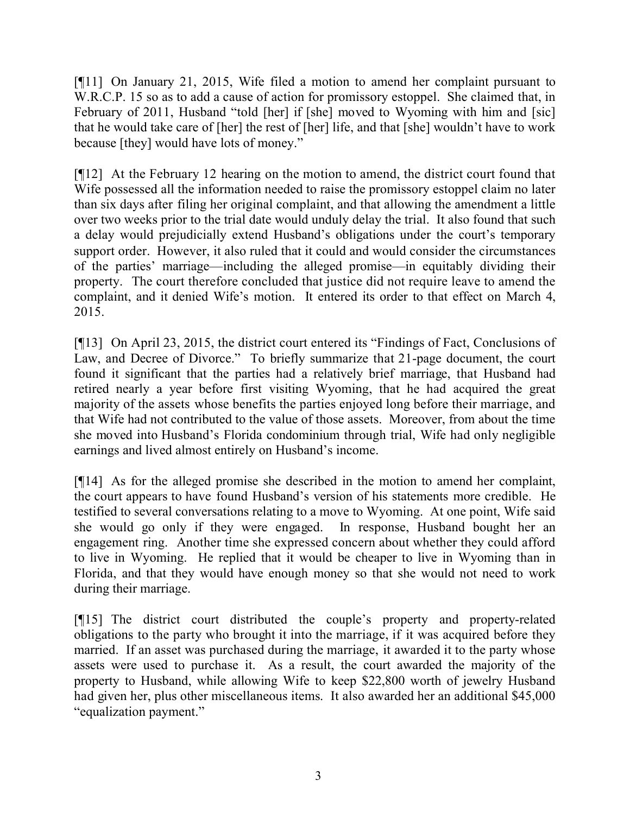[¶11] On January 21, 2015, Wife filed a motion to amend her complaint pursuant to W.R.C.P. 15 so as to add a cause of action for promissory estoppel. She claimed that, in February of 2011, Husband "told [her] if [she] moved to Wyoming with him and [sic] that he would take care of [her] the rest of [her] life, and that [she] wouldn't have to work because [they] would have lots of money."

[¶12] At the February 12 hearing on the motion to amend, the district court found that Wife possessed all the information needed to raise the promissory estoppel claim no later than six days after filing her original complaint, and that allowing the amendment a little over two weeks prior to the trial date would unduly delay the trial. It also found that such a delay would prejudicially extend Husband's obligations under the court's temporary support order. However, it also ruled that it could and would consider the circumstances of the parties' marriage—including the alleged promise—in equitably dividing their property. The court therefore concluded that justice did not require leave to amend the complaint, and it denied Wife's motion. It entered its order to that effect on March 4, 2015.

[¶13] On April 23, 2015, the district court entered its "Findings of Fact, Conclusions of Law, and Decree of Divorce." To briefly summarize that 21-page document, the court found it significant that the parties had a relatively brief marriage, that Husband had retired nearly a year before first visiting Wyoming, that he had acquired the great majority of the assets whose benefits the parties enjoyed long before their marriage, and that Wife had not contributed to the value of those assets. Moreover, from about the time she moved into Husband's Florida condominium through trial, Wife had only negligible earnings and lived almost entirely on Husband's income.

[¶14] As for the alleged promise she described in the motion to amend her complaint, the court appears to have found Husband's version of his statements more credible. He testified to several conversations relating to a move to Wyoming. At one point, Wife said she would go only if they were engaged. In response, Husband bought her an engagement ring. Another time she expressed concern about whether they could afford to live in Wyoming. He replied that it would be cheaper to live in Wyoming than in Florida, and that they would have enough money so that she would not need to work during their marriage.

[¶15] The district court distributed the couple's property and property-related obligations to the party who brought it into the marriage, if it was acquired before they married. If an asset was purchased during the marriage, it awarded it to the party whose assets were used to purchase it. As a result, the court awarded the majority of the property to Husband, while allowing Wife to keep \$22,800 worth of jewelry Husband had given her, plus other miscellaneous items. It also awarded her an additional \$45,000 "equalization payment."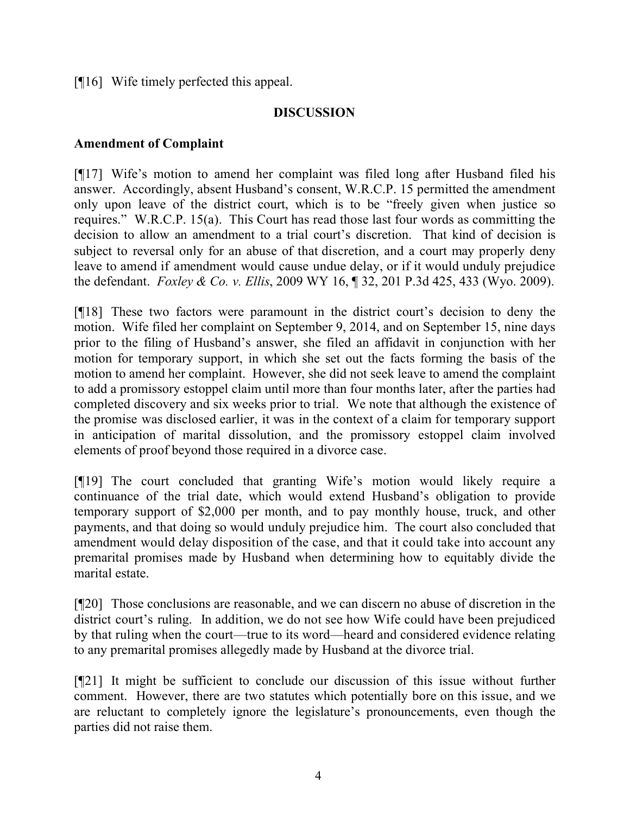[¶16] Wife timely perfected this appeal.

#### **DISCUSSION**

#### **Amendment of Complaint**

[¶17] Wife's motion to amend her complaint was filed long after Husband filed his answer. Accordingly, absent Husband's consent, W.R.C.P. 15 permitted the amendment only upon leave of the district court, which is to be "freely given when justice so requires." W.R.C.P. 15(a). This Court has read those last four words as committing the decision to allow an amendment to a trial court's discretion. That kind of decision is subject to reversal only for an abuse of that discretion, and a court may properly deny leave to amend if amendment would cause undue delay, or if it would unduly prejudice the defendant. *Foxley & Co. v. Ellis*, 2009 WY 16, ¶ 32, 201 P.3d 425, 433 (Wyo. 2009).

[¶18] These two factors were paramount in the district court's decision to deny the motion. Wife filed her complaint on September 9, 2014, and on September 15, nine days prior to the filing of Husband's answer, she filed an affidavit in conjunction with her motion for temporary support, in which she set out the facts forming the basis of the motion to amend her complaint. However, she did not seek leave to amend the complaint to add a promissory estoppel claim until more than four months later, after the parties had completed discovery and six weeks prior to trial. We note that although the existence of the promise was disclosed earlier, it was in the context of a claim for temporary support in anticipation of marital dissolution, and the promissory estoppel claim involved elements of proof beyond those required in a divorce case.

[¶19] The court concluded that granting Wife's motion would likely require a continuance of the trial date, which would extend Husband's obligation to provide temporary support of \$2,000 per month, and to pay monthly house, truck, and other payments, and that doing so would unduly prejudice him. The court also concluded that amendment would delay disposition of the case, and that it could take into account any premarital promises made by Husband when determining how to equitably divide the marital estate.

[¶20] Those conclusions are reasonable, and we can discern no abuse of discretion in the district court's ruling. In addition, we do not see how Wife could have been prejudiced by that ruling when the court—true to its word—heard and considered evidence relating to any premarital promises allegedly made by Husband at the divorce trial.

[¶21] It might be sufficient to conclude our discussion of this issue without further comment. However, there are two statutes which potentially bore on this issue, and we are reluctant to completely ignore the legislature's pronouncements, even though the parties did not raise them.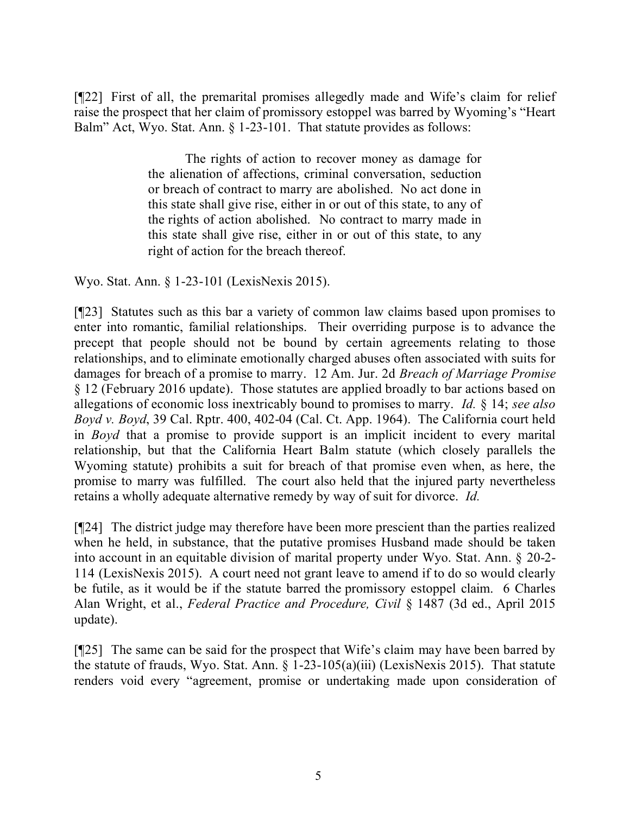[¶22] First of all, the premarital promises allegedly made and Wife's claim for relief raise the prospect that her claim of promissory estoppel was barred by Wyoming's "Heart Balm" Act, Wyo. Stat. Ann. § 1-23-101. That statute provides as follows:

> The rights of action to recover money as damage for the alienation of affections, criminal conversation, seduction or breach of contract to marry are abolished. No act done in this state shall give rise, either in or out of this state, to any of the rights of action abolished. No contract to marry made in this state shall give rise, either in or out of this state, to any right of action for the breach thereof.

Wyo. Stat. Ann. § 1-23-101 (LexisNexis 2015).

[¶23] Statutes such as this bar a variety of common law claims based upon promises to enter into romantic, familial relationships. Their overriding purpose is to advance the precept that people should not be bound by certain agreements relating to those relationships, and to eliminate emotionally charged abuses often associated with suits for damages for breach of a promise to marry. 12 Am. Jur. 2d *Breach of Marriage Promise* § 12 (February 2016 update). Those statutes are applied broadly to bar actions based on allegations of economic loss inextricably bound to promises to marry. *Id.* § 14; *see also Boyd v. Boyd*, 39 Cal. Rptr. 400, 402-04 (Cal. Ct. App. 1964). The California court held in *Boyd* that a promise to provide support is an implicit incident to every marital relationship, but that the California Heart Balm statute (which closely parallels the Wyoming statute) prohibits a suit for breach of that promise even when, as here, the promise to marry was fulfilled. The court also held that the injured party nevertheless retains a wholly adequate alternative remedy by way of suit for divorce. *Id.*

[¶24] The district judge may therefore have been more prescient than the parties realized when he held, in substance, that the putative promises Husband made should be taken into account in an equitable division of marital property under Wyo. Stat. Ann. § 20-2- 114 (LexisNexis 2015). A court need not grant leave to amend if to do so would clearly be futile, as it would be if the statute barred the promissory estoppel claim. 6 Charles Alan Wright, et al., *Federal Practice and Procedure, Civil* § 1487 (3d ed., April 2015 update).

[¶25] The same can be said for the prospect that Wife's claim may have been barred by the statute of frauds, Wyo. Stat. Ann. § 1-23-105(a)(iii) (LexisNexis 2015). That statute renders void every "agreement, promise or undertaking made upon consideration of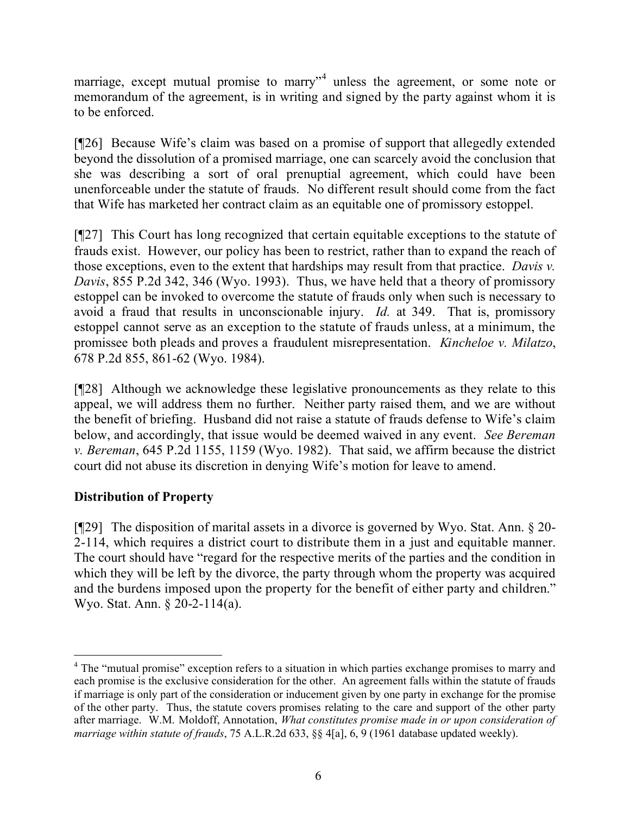marriage, except mutual promise to marry<sup>14</sup> unless the agreement, or some note or memorandum of the agreement, is in writing and signed by the party against whom it is to be enforced.

[¶26] Because Wife's claim was based on a promise of support that allegedly extended beyond the dissolution of a promised marriage, one can scarcely avoid the conclusion that she was describing a sort of oral prenuptial agreement, which could have been unenforceable under the statute of frauds. No different result should come from the fact that Wife has marketed her contract claim as an equitable one of promissory estoppel.

[¶27] This Court has long recognized that certain equitable exceptions to the statute of frauds exist. However, our policy has been to restrict, rather than to expand the reach of those exceptions, even to the extent that hardships may result from that practice. *Davis v. Davis*, 855 P.2d 342, 346 (Wyo. 1993). Thus, we have held that a theory of promissory estoppel can be invoked to overcome the statute of frauds only when such is necessary to avoid a fraud that results in unconscionable injury. *Id.* at 349. That is, promissory estoppel cannot serve as an exception to the statute of frauds unless, at a minimum, the promissee both pleads and proves a fraudulent misrepresentation. *Kincheloe v. Milatzo*, 678 P.2d 855, 861-62 (Wyo. 1984).

[¶28] Although we acknowledge these legislative pronouncements as they relate to this appeal, we will address them no further. Neither party raised them, and we are without the benefit of briefing. Husband did not raise a statute of frauds defense to Wife's claim below, and accordingly, that issue would be deemed waived in any event. *See Bereman v. Bereman*, 645 P.2d 1155, 1159 (Wyo. 1982). That said, we affirm because the district court did not abuse its discretion in denying Wife's motion for leave to amend.

# **Distribution of Property**

 $\overline{a}$ 

[¶29] The disposition of marital assets in a divorce is governed by Wyo. Stat. Ann. § 20- 2-114, which requires a district court to distribute them in a just and equitable manner. The court should have "regard for the respective merits of the parties and the condition in which they will be left by the divorce, the party through whom the property was acquired and the burdens imposed upon the property for the benefit of either party and children." Wyo. Stat. Ann. § 20-2-114(a).

<sup>&</sup>lt;sup>4</sup> The "mutual promise" exception refers to a situation in which parties exchange promises to marry and each promise is the exclusive consideration for the other. An agreement falls within the statute of frauds if marriage is only part of the consideration or inducement given by one party in exchange for the promise of the other party. Thus, the statute covers promises relating to the care and support of the other party after marriage. W.M. Moldoff, Annotation, *What constitutes promise made in or upon consideration of marriage within statute of frauds*, 75 A.L.R.2d 633, §§ 4[a], 6, 9 (1961 database updated weekly).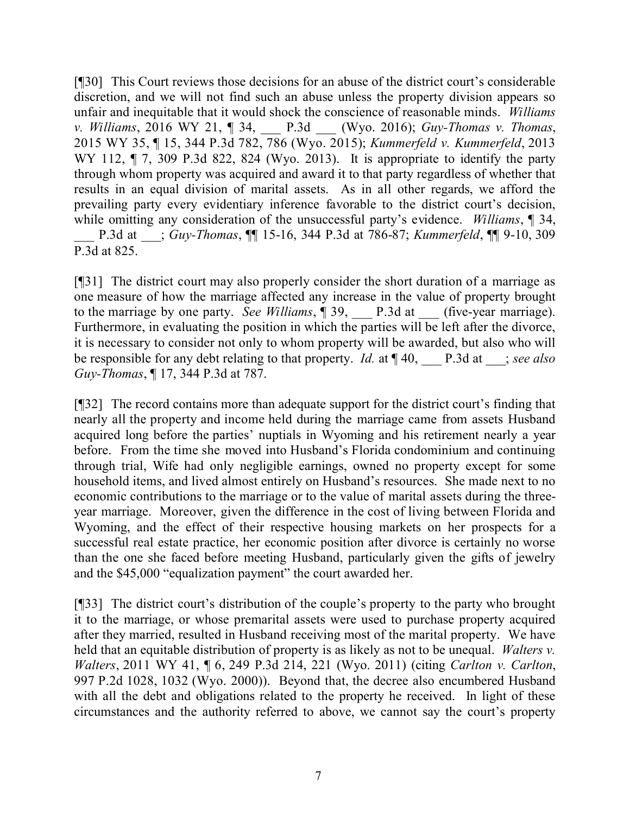[¶30] This Court reviews those decisions for an abuse of the district court's considerable discretion, and we will not find such an abuse unless the property division appears so unfair and inequitable that it would shock the conscience of reasonable minds. *Williams v. Williams*, 2016 WY 21, ¶ 34, \_\_\_ P.3d \_\_\_ (Wyo. 2016); *Guy-Thomas v. Thomas*, 2015 WY 35, ¶ 15, 344 P.3d 782, 786 (Wyo. 2015); *Kummerfeld v. Kummerfeld*, 2013 WY 112,  $\P$  7, 309 P.3d 822, 824 (Wyo. 2013). It is appropriate to identify the party through whom property was acquired and award it to that party regardless of whether that results in an equal division of marital assets. As in all other regards, we afford the prevailing party every evidentiary inference favorable to the district court's decision, while omitting any consideration of the unsuccessful party's evidence. *Williams*, ¶ 34, \_\_\_ P.3d at \_\_\_; *Guy-Thomas*, ¶¶ 15-16, 344 P.3d at 786-87; *Kummerfeld*, ¶¶ 9-10, 309 P.3d at 825.

[¶31] The district court may also properly consider the short duration of a marriage as one measure of how the marriage affected any increase in the value of property brought to the marriage by one party. *See Williams*, 1 39, P.3d at (five-year marriage). Furthermore, in evaluating the position in which the parties will be left after the divorce, it is necessary to consider not only to whom property will be awarded, but also who will be responsible for any debt relating to that property. *Id.* at ¶ 40, \_\_\_ P.3d at \_\_\_; *see also Guy-Thomas*, ¶ 17, 344 P.3d at 787.

[¶32] The record contains more than adequate support for the district court's finding that nearly all the property and income held during the marriage came from assets Husband acquired long before the parties' nuptials in Wyoming and his retirement nearly a year before. From the time she moved into Husband's Florida condominium and continuing through trial, Wife had only negligible earnings, owned no property except for some household items, and lived almost entirely on Husband's resources. She made next to no economic contributions to the marriage or to the value of marital assets during the threeyear marriage. Moreover, given the difference in the cost of living between Florida and Wyoming, and the effect of their respective housing markets on her prospects for a successful real estate practice, her economic position after divorce is certainly no worse than the one she faced before meeting Husband, particularly given the gifts of jewelry and the \$45,000 "equalization payment" the court awarded her.

[¶33] The district court's distribution of the couple's property to the party who brought it to the marriage, or whose premarital assets were used to purchase property acquired after they married, resulted in Husband receiving most of the marital property. We have held that an equitable distribution of property is as likely as not to be unequal. *Walters v. Walters*, 2011 WY 41, ¶ 6, 249 P.3d 214, 221 (Wyo. 2011) (citing *Carlton v. Carlton*, 997 P.2d 1028, 1032 (Wyo. 2000)). Beyond that, the decree also encumbered Husband with all the debt and obligations related to the property he received. In light of these circumstances and the authority referred to above, we cannot say the court's property